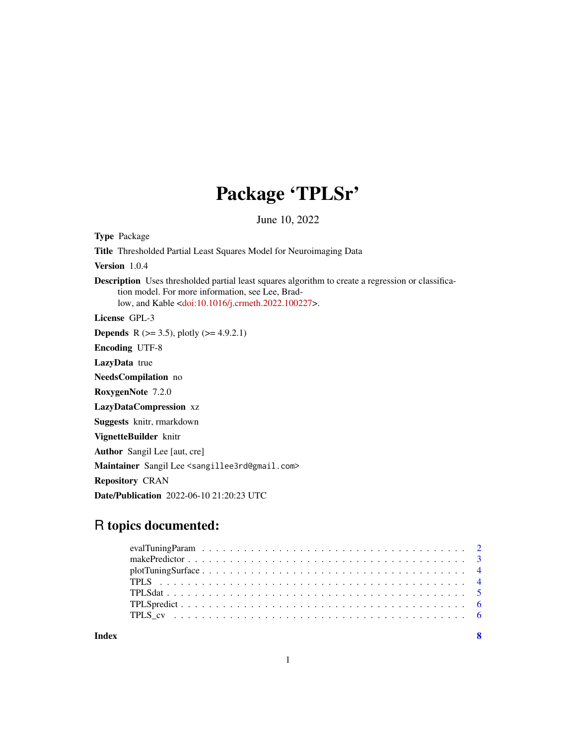## Package 'TPLSr'

June 10, 2022

Type Package Title Thresholded Partial Least Squares Model for Neuroimaging Data Version 1.0.4 Description Uses thresholded partial least squares algorithm to create a regression or classification model. For more information, see Lee, Bradlow, and Kable [<doi:10.1016/j.crmeth.2022.100227>](https://doi.org/10.1016/j.crmeth.2022.100227). License GPL-3 **Depends** R ( $>= 3.5$ ), plotly ( $>= 4.9.2.1$ ) Encoding UTF-8 LazyData true NeedsCompilation no RoxygenNote 7.2.0 LazyDataCompression xz Suggests knitr, rmarkdown VignetteBuilder knitr Author Sangil Lee [aut, cre] Maintainer Sangil Lee <sangillee3rd@gmail.com> Repository CRAN Date/Publication 2022-06-10 21:20:23 UTC

### R topics documented:

| Index | $\overline{\mathbf{8}}$ |
|-------|-------------------------|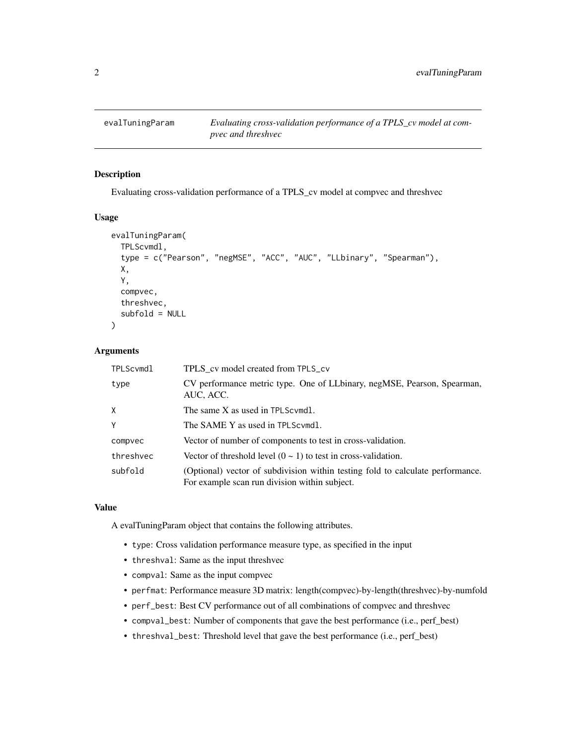<span id="page-1-0"></span>

#### Description

Evaluating cross-validation performance of a TPLS\_cv model at compvec and threshvec

#### Usage

```
evalTuningParam(
  TPLScvmdl,
  type = c("Pearson", "negMSE", "ACC", "AUC", "LLbinary", "Spearman"),
  X,
  Y,
  compvec,
  threshvec,
  subfold = NULL
)
```
#### Arguments

| TPLScvmdl | TPLS cv model created from TPLS_cv                                                                                              |
|-----------|---------------------------------------------------------------------------------------------------------------------------------|
| type      | CV performance metric type. One of LLbinary, negMSE, Pearson, Spearman,<br>AUC, ACC.                                            |
| X         | The same X as used in TPLScymdl.                                                                                                |
| Y         | The SAME Y as used in TPLScymdl.                                                                                                |
| compvec   | Vector of number of components to test in cross-validation.                                                                     |
| threshvec | Vector of threshold level $(0 \sim 1)$ to test in cross-validation.                                                             |
| subfold   | (Optional) vector of subdivision within testing fold to calculate performance.<br>For example scan run division within subject. |

#### Value

A evalTuningParam object that contains the following attributes.

- type: Cross validation performance measure type, as specified in the input
- threshval: Same as the input threshvec
- compval: Same as the input compvec
- perfmat: Performance measure 3D matrix: length(compvec)-by-length(threshvec)-by-numfold
- perf\_best: Best CV performance out of all combinations of compvec and threshvec
- compval\_best: Number of components that gave the best performance (i.e., perf\_best)
- threshval\_best: Threshold level that gave the best performance (i.e., perf\_best)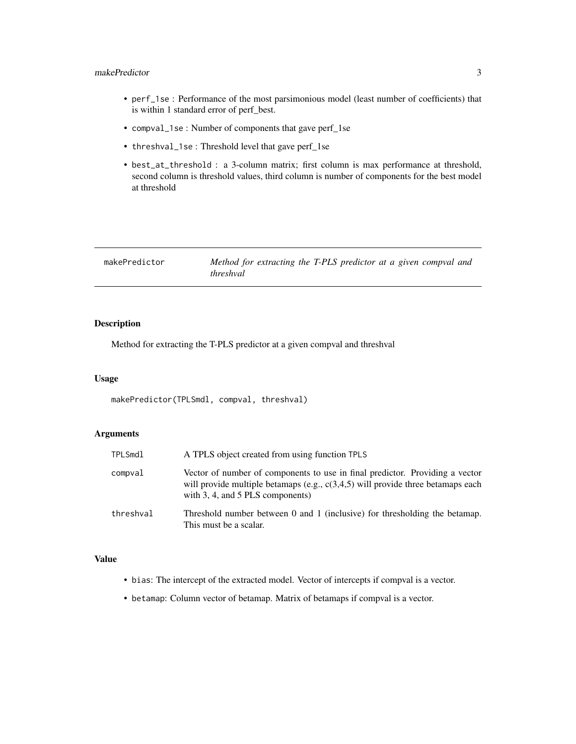#### <span id="page-2-0"></span>makePredictor 3

- perf\_1se : Performance of the most parsimonious model (least number of coefficients) that is within 1 standard error of perf\_best.
- compval\_1se : Number of components that gave perf\_1se
- threshval\_1se : Threshold level that gave perf\_1se
- best\_at\_threshold : a 3-column matrix; first column is max performance at threshold, second column is threshold values, third column is number of components for the best model at threshold

| makePredictor | Method for extracting the T-PLS predictor at a given compval and |
|---------------|------------------------------------------------------------------|
|               | <i>threshval</i>                                                 |

#### Description

Method for extracting the T-PLS predictor at a given compval and threshval

#### Usage

```
makePredictor(TPLSmdl, compval, threshval)
```
#### Arguments

| TPLSmdl   | A TPLS object created from using function TPLS                                                                                                                                                             |
|-----------|------------------------------------------------------------------------------------------------------------------------------------------------------------------------------------------------------------|
| compval   | Vector of number of components to use in final predictor. Providing a vector<br>will provide multiple betamaps (e.g., $c(3,4,5)$ will provide three betamaps each<br>with $3, 4$ , and $5$ PLS components) |
| threshval | Threshold number between 0 and 1 (inclusive) for thresholding the betamap.<br>This must be a scalar.                                                                                                       |

#### Value

- bias: The intercept of the extracted model. Vector of intercepts if compval is a vector.
- betamap: Column vector of betamap. Matrix of betamaps if compval is a vector.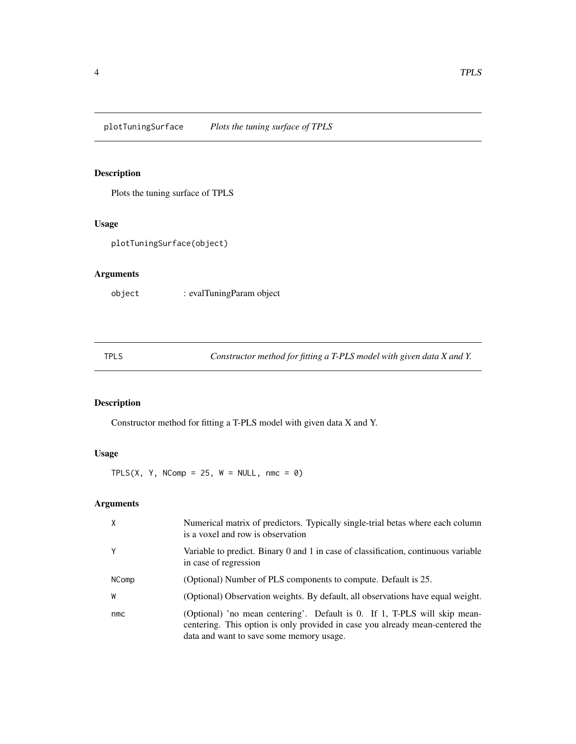#### <span id="page-3-0"></span>Description

Plots the tuning surface of TPLS

#### Usage

```
plotTuningSurface(object)
```
#### Arguments

object : evalTuningParam object

TPLS *Constructor method for fitting a T-PLS model with given data X and Y.*

#### Description

Constructor method for fitting a T-PLS model with given data X and Y.

#### Usage

TPLS(X, Y, NComp = 25,  $W = NULL$ , nmc = 0)

#### Arguments

| X     | Numerical matrix of predictors. Typically single-trial betas where each column<br>is a voxel and row is observation                                                                                    |
|-------|--------------------------------------------------------------------------------------------------------------------------------------------------------------------------------------------------------|
| Y     | Variable to predict. Binary 0 and 1 in case of classification, continuous variable<br>in case of regression                                                                                            |
| NComp | (Optional) Number of PLS components to compute. Default is 25.                                                                                                                                         |
| W     | (Optional) Observation weights. By default, all observations have equal weight.                                                                                                                        |
| nmc   | (Optional) 'no mean centering'. Default is 0. If 1, T-PLS will skip mean-<br>centering. This option is only provided in case you already mean-centered the<br>data and want to save some memory usage. |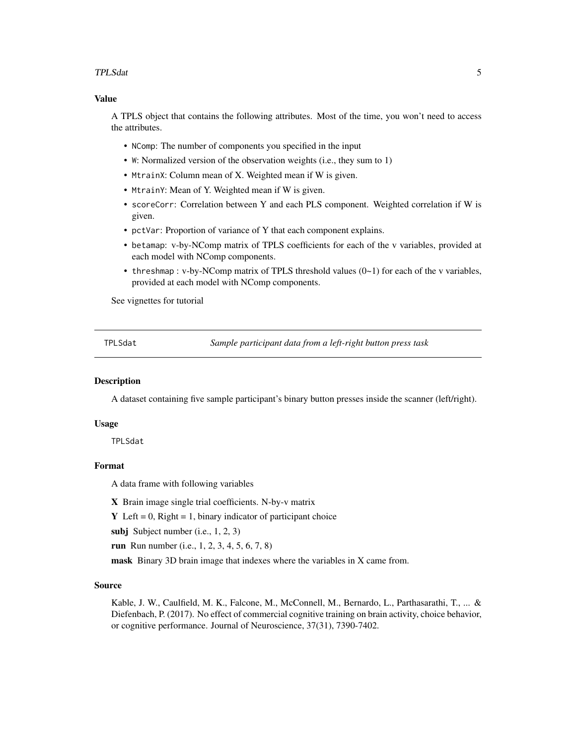#### <span id="page-4-0"></span>TPLSdat 5

#### Value

A TPLS object that contains the following attributes. Most of the time, you won't need to access the attributes.

- NComp: The number of components you specified in the input
- W: Normalized version of the observation weights (i.e., they sum to 1)
- MtrainX: Column mean of X. Weighted mean if W is given.
- MtrainY: Mean of Y. Weighted mean if W is given.
- scoreCorr: Correlation between Y and each PLS component. Weighted correlation if W is given.
- pctVar: Proportion of variance of Y that each component explains.
- betamap: v-by-NComp matrix of TPLS coefficients for each of the v variables, provided at each model with NComp components.
- threshmap : v-by-NComp matrix of TPLS threshold values  $(0-1)$  for each of the v variables, provided at each model with NComp components.

See vignettes for tutorial

TPLSdat *Sample participant data from a left-right button press task*

#### Description

A dataset containing five sample participant's binary button presses inside the scanner (left/right).

#### Usage

TPLSdat

#### Format

A data frame with following variables

X Brain image single trial coefficients. N-by-v matrix

Y Left =  $0$ , Right = 1, binary indicator of participant choice

subj Subject number (i.e., 1, 2, 3)

run Run number (i.e., 1, 2, 3, 4, 5, 6, 7, 8)

mask Binary 3D brain image that indexes where the variables in X came from.

#### Source

Kable, J. W., Caulfield, M. K., Falcone, M., McConnell, M., Bernardo, L., Parthasarathi, T., ... & Diefenbach, P. (2017). No effect of commercial cognitive training on brain activity, choice behavior, or cognitive performance. Journal of Neuroscience, 37(31), 7390-7402.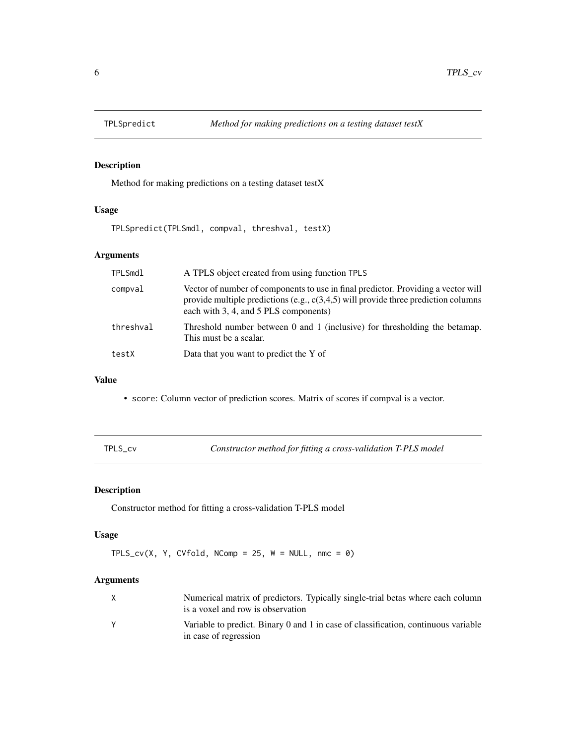<span id="page-5-0"></span>

#### Description

Method for making predictions on a testing dataset testX

#### Usage

TPLSpredict(TPLSmdl, compval, threshval, testX)

#### Arguments

| <b>TPLSmdl</b> | A TPLS object created from using function TPLS                                                                                                                                                                     |
|----------------|--------------------------------------------------------------------------------------------------------------------------------------------------------------------------------------------------------------------|
| compval        | Vector of number of components to use in final predictor. Providing a vector will<br>provide multiple predictions (e.g., $c(3,4,5)$ will provide three prediction columns<br>each with 3, 4, and 5 PLS components) |
| threshval      | Threshold number between 0 and 1 (inclusive) for thresholding the betamap.<br>This must be a scalar.                                                                                                               |
| testX          | Data that you want to predict the Y of                                                                                                                                                                             |

#### Value

- score: Column vector of prediction scores. Matrix of scores if compval is a vector.
- 

TPLS\_cv *Constructor method for fitting a cross-validation T-PLS model*

#### Description

Constructor method for fitting a cross-validation T-PLS model

#### Usage

```
TPLS_Cv(X, Y, CVfold, NComp = 25, W = NULL, nmc = 0)
```
#### Arguments

| Numerical matrix of predictors. Typically single-trial betas where each column<br>is a voxel and row is observation |
|---------------------------------------------------------------------------------------------------------------------|
| Variable to predict. Binary 0 and 1 in case of classification, continuous variable<br>in case of regression         |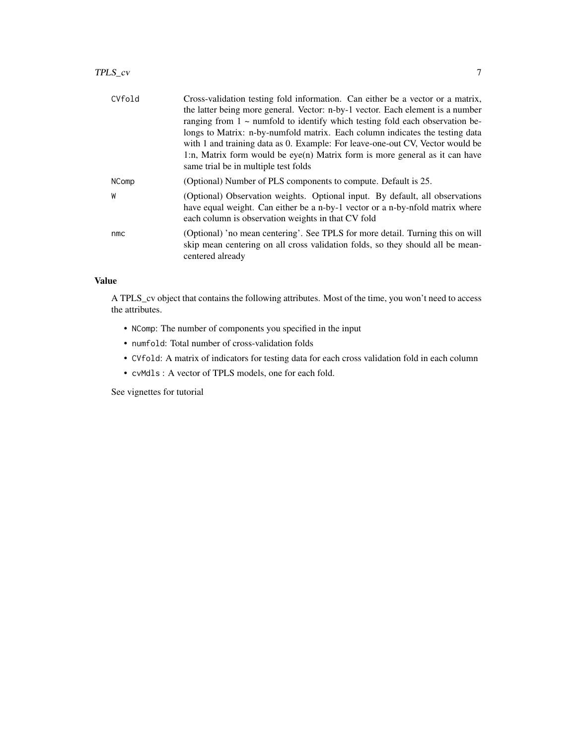#### TPLS\_cv 7

| CVfold       | Cross-validation testing fold information. Can either be a vector or a matrix,                                                                                                                                      |
|--------------|---------------------------------------------------------------------------------------------------------------------------------------------------------------------------------------------------------------------|
|              | the latter being more general. Vector: n-by-1 vector. Each element is a number                                                                                                                                      |
|              | ranging from $1 \sim$ numfold to identify which testing fold each observation be-                                                                                                                                   |
|              | longs to Matrix: n-by-numfold matrix. Each column indicates the testing data<br>with 1 and training data as 0. Example: For leave-one-out CV, Vector would be                                                       |
|              | 1:n, Matrix form would be $eye(n)$ Matrix form is more general as it can have<br>same trial be in multiple test folds                                                                                               |
| <b>NComp</b> | (Optional) Number of PLS components to compute. Default is 25.                                                                                                                                                      |
| W            | (Optional) Observation weights. Optional input. By default, all observations<br>have equal weight. Can either be a n-by-1 vector or a n-by-nfold matrix where<br>each column is observation weights in that CV fold |
| nmc          | (Optional) 'no mean centering'. See TPLS for more detail. Turning this on will<br>skip mean centering on all cross validation folds, so they should all be mean-<br>centered already                                |

#### Value

A TPLS\_cv object that contains the following attributes. Most of the time, you won't need to access the attributes.

- NComp: The number of components you specified in the input
- numfold: Total number of cross-validation folds
- CVfold: A matrix of indicators for testing data for each cross validation fold in each column
- cvMdls : A vector of TPLS models, one for each fold.

See vignettes for tutorial